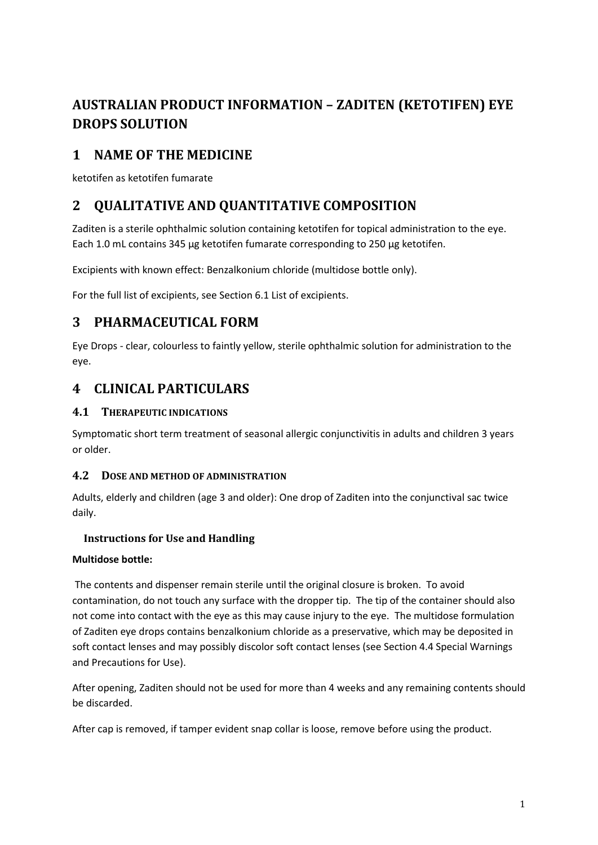# **AUSTRALIAN PRODUCT INFORMATION – ZADITEN (KETOTIFEN) EYE DROPS SOLUTION**

# **1 NAME OF THE MEDICINE**

ketotifen as ketotifen fumarate

# **2 QUALITATIVE AND QUANTITATIVE COMPOSITION**

Zaditen is a sterile ophthalmic solution containing ketotifen for topical administration to the eye. Each 1.0 mL contains 345 µg ketotifen fumarate corresponding to 250 µg ketotifen.

Excipients with known effect: Benzalkonium chloride (multidose bottle only).

For the full list of excipients, see Section 6.1 List of excipients.

# **3 PHARMACEUTICAL FORM**

Eye Drops - clear, colourless to faintly yellow, sterile ophthalmic solution for administration to the eye.

# **4 CLINICAL PARTICULARS**

# **4.1 THERAPEUTIC INDICATIONS**

Symptomatic short term treatment of seasonal allergic conjunctivitis in adults and children 3 years or older.

# **4.2 DOSE AND METHOD OF ADMINISTRATION**

Adults, elderly and children (age 3 and older): One drop of Zaditen into the conjunctival sac twice daily.

# **Instructions for Use and Handling**

# **Multidose bottle:**

The contents and dispenser remain sterile until the original closure is broken. To avoid contamination, do not touch any surface with the dropper tip. The tip of the container should also not come into contact with the eye as this may cause injury to the eye. The multidose formulation of Zaditen eye drops contains benzalkonium chloride as a preservative, which may be deposited in soft contact lenses and may possibly discolor soft contact lenses (see Section 4.4 Special Warnings and Precautions for Use).

After opening, Zaditen should not be used for more than 4 weeks and any remaining contents should be discarded.

After cap is removed, if tamper evident snap collar is loose, remove before using the product.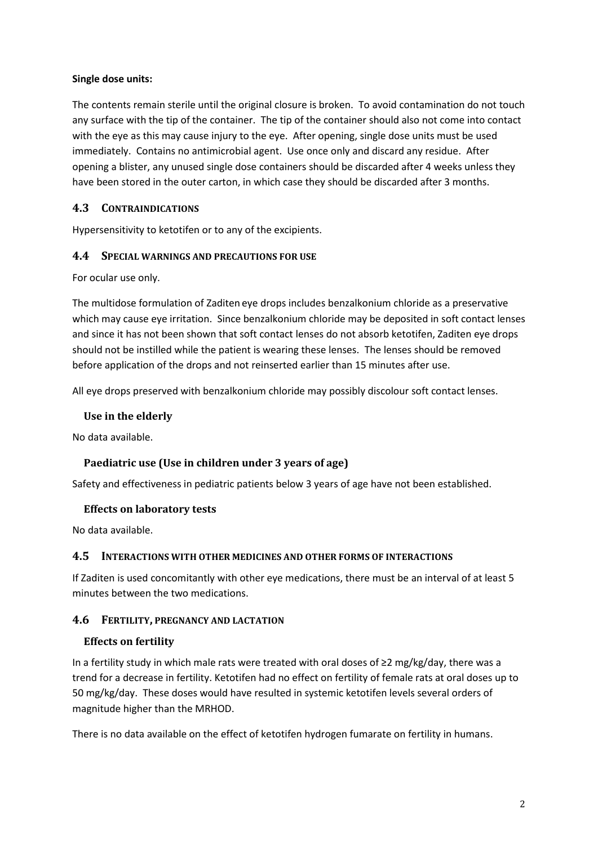### **Single dose units:**

The contents remain sterile until the original closure is broken. To avoid contamination do not touch any surface with the tip of the container. The tip of the container should also not come into contact with the eye as this may cause injury to the eye. After opening, single dose units must be used immediately. Contains no antimicrobial agent. Use once only and discard any residue. After opening a blister, any unused single dose containers should be discarded after 4 weeks unless they have been stored in the outer carton, in which case they should be discarded after 3 months.

### **4.3 CONTRAINDICATIONS**

Hypersensitivity to ketotifen or to any of the excipients.

### **4.4 SPECIAL WARNINGS AND PRECAUTIONS FOR USE**

For ocular use only.

The multidose formulation of Zaditen eye drops includes benzalkonium chloride as a preservative which may cause eye irritation. Since benzalkonium chloride may be deposited in soft contact lenses and since it has not been shown that soft contact lenses do not absorb ketotifen, Zaditen eye drops should not be instilled while the patient is wearing these lenses. The lenses should be removed before application of the drops and not reinserted earlier than 15 minutes after use.

All eye drops preserved with benzalkonium chloride may possibly discolour soft contact lenses.

### **Use in the elderly**

No data available.

### **Paediatric use (Use in children under 3 years of age)**

Safety and effectiveness in pediatric patients below 3 years of age have not been established.

### **Effects on laboratory tests**

No data available.

### **4.5 INTERACTIONS WITH OTHER MEDICINES AND OTHER FORMS OF INTERACTIONS**

If Zaditen is used concomitantly with other eye medications, there must be an interval of at least 5 minutes between the two medications.

### **4.6 FERTILITY, PREGNANCY AND LACTATION**

#### **Effects on fertility**

In a fertility study in which male rats were treated with oral doses of ≥2 mg/kg/day, there was a trend for a decrease in fertility. Ketotifen had no effect on fertility of female rats at oral doses up to 50 mg/kg/day. These doses would have resulted in systemic ketotifen levels several orders of magnitude higher than the MRHOD.

There is no data available on the effect of ketotifen hydrogen fumarate on fertility in humans.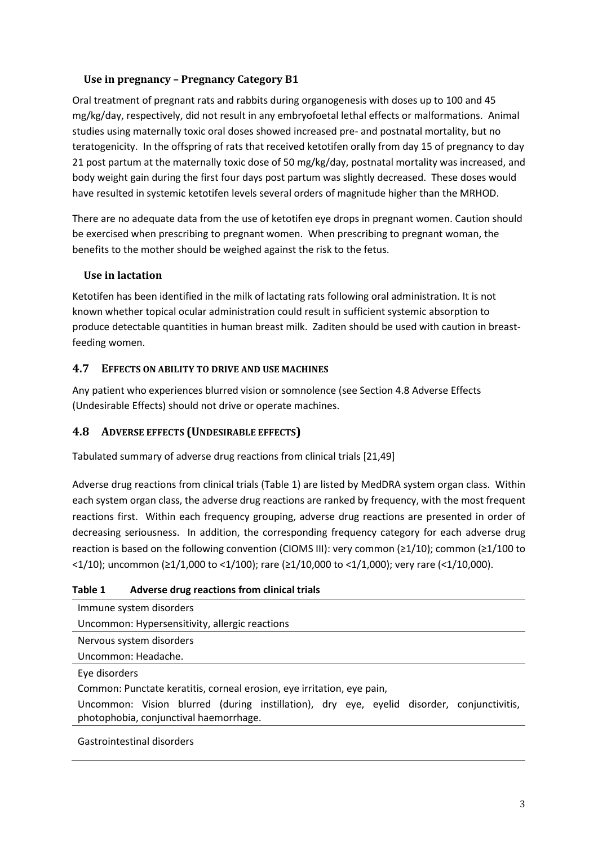## **Use in pregnancy – Pregnancy Category B1**

Oral treatment of pregnant rats and rabbits during organogenesis with doses up to 100 and 45 mg/kg/day, respectively, did not result in any embryofoetal lethal effects or malformations. Animal studies using maternally toxic oral doses showed increased pre- and postnatal mortality, but no teratogenicity. In the offspring of rats that received ketotifen orally from day 15 of pregnancy to day 21 post partum at the maternally toxic dose of 50 mg/kg/day, postnatal mortality was increased, and body weight gain during the first four days post partum was slightly decreased. These doses would have resulted in systemic ketotifen levels several orders of magnitude higher than the MRHOD.

There are no adequate data from the use of ketotifen eye drops in pregnant women. Caution should be exercised when prescribing to pregnant women. When prescribing to pregnant woman, the benefits to the mother should be weighed against the risk to the fetus.

### **Use in lactation**

Ketotifen has been identified in the milk of lactating rats following oral administration. It is not known whether topical ocular administration could result in sufficient systemic absorption to produce detectable quantities in human breast milk. Zaditen should be used with caution in breastfeeding women.

### **4.7 EFFECTS ON ABILITY TO DRIVE AND USE MACHINES**

Any patient who experiences blurred vision or somnolence (see Section 4.8 Adverse Effects (Undesirable Effects) should not drive or operate machines.

# **4.8 ADVERSE EFFECTS (UNDESIRABLE EFFECTS)**

Tabulated summary of adverse drug reactions from clinical trials [21,49]

Adverse drug reactions from clinical trials (Table 1) are listed by MedDRA system organ class. Within each system organ class, the adverse drug reactions are ranked by frequency, with the most frequent reactions first. Within each frequency grouping, adverse drug reactions are presented in order of decreasing seriousness. In addition, the corresponding frequency category for each adverse drug reaction is based on the following convention (CIOMS III): very common (≥1/10); common (≥1/100 to <1/10); uncommon (≥1/1,000 to <1/100); rare (≥1/10,000 to <1/1,000); very rare (<1/10,000).

### **Table 1 Adverse drug reactions from clinical trials**

| Immune system disorders                                                                                                             |
|-------------------------------------------------------------------------------------------------------------------------------------|
| Uncommon: Hypersensitivity, allergic reactions                                                                                      |
| Nervous system disorders                                                                                                            |
| Uncommon: Headache.                                                                                                                 |
| Eye disorders                                                                                                                       |
| Common: Punctate keratitis, corneal erosion, eye irritation, eye pain,                                                              |
| Uncommon: Vision blurred (during instillation), dry eye, eyelid disorder, conjunctivitis,<br>photophobia, conjunctival haemorrhage. |
|                                                                                                                                     |

Gastrointestinal disorders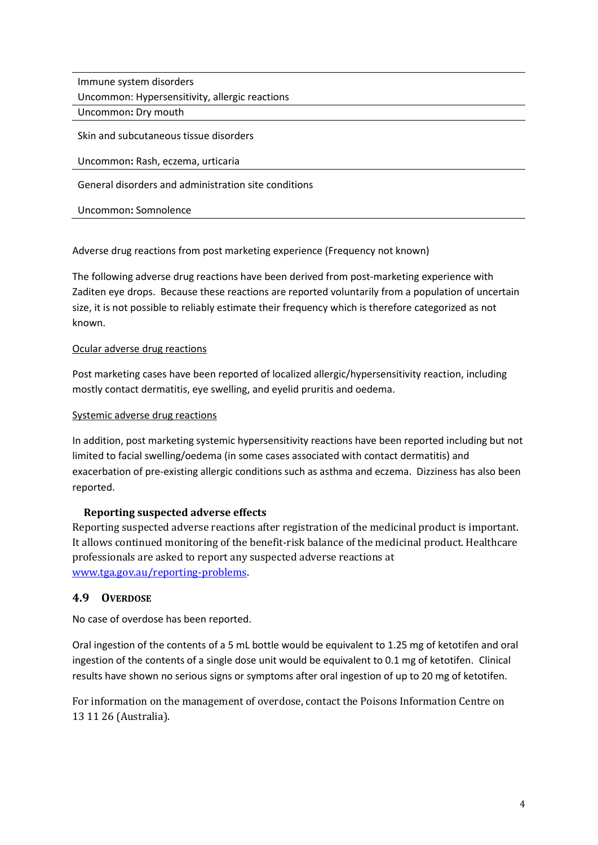Immune system disorders

Uncommon: Hypersensitivity, allergic reactions

Uncommon**:** Dry mouth

Skin and subcutaneous tissue disorders

### Uncommon**:** Rash, eczema, urticaria

General disorders and administration site conditions

Uncommon**:** Somnolence

Adverse drug reactions from post marketing experience (Frequency not known)

The following adverse drug reactions have been derived from post-marketing experience with Zaditen eye drops. Because these reactions are reported voluntarily from a population of uncertain size, it is not possible to reliably estimate their frequency which is therefore categorized as not known.

### Ocular adverse drug reactions

Post marketing cases have been reported of localized allergic/hypersensitivity reaction, including mostly contact dermatitis, eye swelling, and eyelid pruritis and oedema.

#### Systemic adverse drug reactions

In addition, post marketing systemic hypersensitivity reactions have been reported including but not limited to facial swelling/oedema (in some cases associated with contact dermatitis) and exacerbation of pre-existing allergic conditions such as asthma and eczema. Dizziness has also been reported.

### **Reporting suspected adverse effects**

Reporting suspected adverse reactions after registration of the medicinal product is important. It allows continued monitoring of the benefit-risk balance of the medicinal product. Healthcare professionals are asked to report any suspected adverse reactions at [www.tga.gov.au/reporting-problems.](http://www.tga.gov.au/reporting-problems)

### **4.9 OVERDOSE**

No case of overdose has been reported.

Oral ingestion of the contents of a 5 mL bottle would be equivalent to 1.25 mg of ketotifen and oral ingestion of the contents of a single dose unit would be equivalent to 0.1 mg of ketotifen. Clinical results have shown no serious signs or symptoms after oral ingestion of up to 20 mg of ketotifen.

For information on the management of overdose, contact the Poisons Information Centre on 13 11 26 (Australia).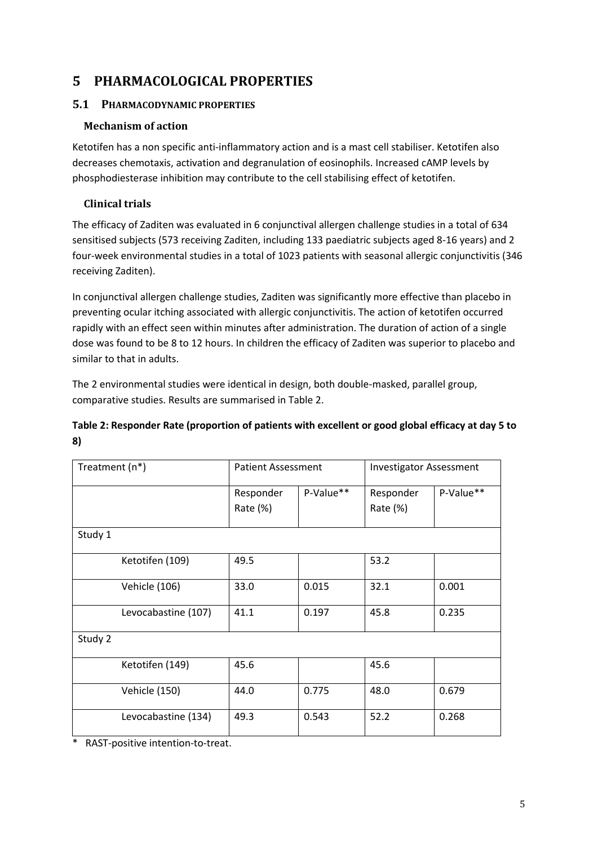# **5 PHARMACOLOGICAL PROPERTIES**

# **5.1 PHARMACODYNAMIC PROPERTIES**

# **Mechanism of action**

Ketotifen has a non specific anti-inflammatory action and is a mast cell stabiliser. Ketotifen also decreases chemotaxis, activation and degranulation of eosinophils. Increased cAMP levels by phosphodiesterase inhibition may contribute to the cell stabilising effect of ketotifen.

# **Clinical trials**

The efficacy of Zaditen was evaluated in 6 conjunctival allergen challenge studies in a total of 634 sensitised subjects (573 receiving Zaditen, including 133 paediatric subjects aged 8-16 years) and 2 four-week environmental studies in a total of 1023 patients with seasonal allergic conjunctivitis (346 receiving Zaditen).

In conjunctival allergen challenge studies, Zaditen was significantly more effective than placebo in preventing ocular itching associated with allergic conjunctivitis. The action of ketotifen occurred rapidly with an effect seen within minutes after administration. The duration of action of a single dose was found to be 8 to 12 hours. In children the efficacy of Zaditen was superior to placebo and similar to that in adults.

The 2 environmental studies were identical in design, both double-masked, parallel group, comparative studies. Results are summarised in Table 2.

# **Table 2: Responder Rate (proportion of patients with excellent or good global efficacy at day 5 to 8)**

| Treatment (n*)       | <b>Patient Assessment</b> |           | <b>Investigator Assessment</b> |           |
|----------------------|---------------------------|-----------|--------------------------------|-----------|
|                      | Responder                 | P-Value** | Responder                      | P-Value** |
|                      | Rate (%)                  |           | Rate (%)                       |           |
| Study 1              |                           |           |                                |           |
| Ketotifen (109)      | 49.5                      |           | 53.2                           |           |
| Vehicle (106)        | 33.0                      | 0.015     | 32.1                           | 0.001     |
| Levocabastine (107)  | 41.1                      | 0.197     | 45.8                           | 0.235     |
| Study 2              |                           |           |                                |           |
| Ketotifen (149)      | 45.6                      |           | 45.6                           |           |
| <b>Vehicle (150)</b> | 44.0                      | 0.775     | 48.0                           | 0.679     |
| Levocabastine (134)  | 49.3                      | 0.543     | 52.2                           | 0.268     |

\* RAST-positive intention-to-treat.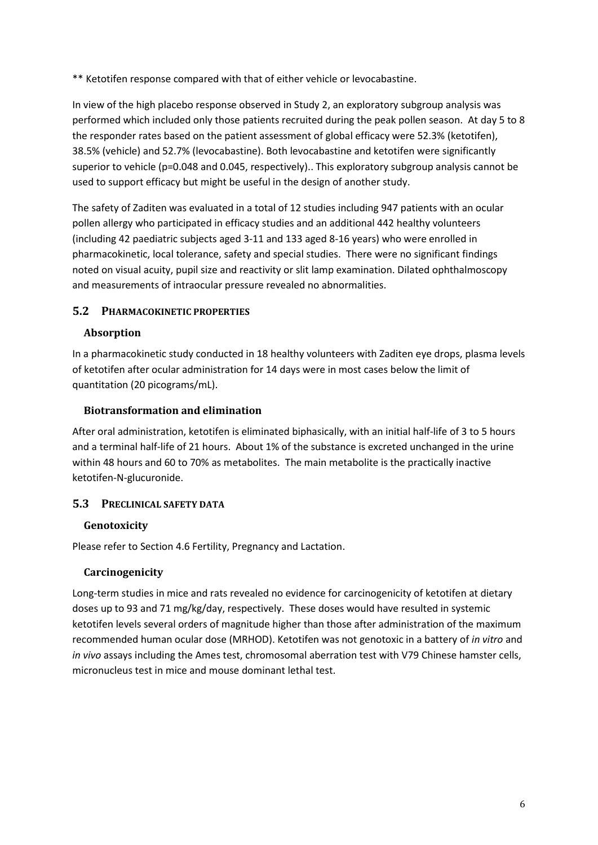\*\* Ketotifen response compared with that of either vehicle or levocabastine.

In view of the high placebo response observed in Study 2, an exploratory subgroup analysis was performed which included only those patients recruited during the peak pollen season. At day 5 to 8 the responder rates based on the patient assessment of global efficacy were 52.3% (ketotifen), 38.5% (vehicle) and 52.7% (levocabastine). Both levocabastine and ketotifen were significantly superior to vehicle (p=0.048 and 0.045, respectively).. This exploratory subgroup analysis cannot be used to support efficacy but might be useful in the design of another study.

The safety of Zaditen was evaluated in a total of 12 studies including 947 patients with an ocular pollen allergy who participated in efficacy studies and an additional 442 healthy volunteers (including 42 paediatric subjects aged 3-11 and 133 aged 8-16 years) who were enrolled in pharmacokinetic, local tolerance, safety and special studies. There were no significant findings noted on visual acuity, pupil size and reactivity or slit lamp examination. Dilated ophthalmoscopy and measurements of intraocular pressure revealed no abnormalities.

# **5.2 PHARMACOKINETIC PROPERTIES**

# **Absorption**

In a pharmacokinetic study conducted in 18 healthy volunteers with Zaditen eye drops, plasma levels of ketotifen after ocular administration for 14 days were in most cases below the limit of quantitation (20 picograms/mL).

### **Biotransformation and elimination**

After oral administration, ketotifen is eliminated biphasically, with an initial half-life of 3 to 5 hours and a terminal half-life of 21 hours. About 1% of the substance is excreted unchanged in the urine within 48 hours and 60 to 70% as metabolites. The main metabolite is the practically inactive ketotifen-N-glucuronide.

# **5.3 PRECLINICAL SAFETY DATA**

# **Genotoxicity**

Please refer to Section 4.6 Fertility, Pregnancy and Lactation.

### **Carcinogenicity**

Long-term studies in mice and rats revealed no evidence for carcinogenicity of ketotifen at dietary doses up to 93 and 71 mg/kg/day, respectively. These doses would have resulted in systemic ketotifen levels several orders of magnitude higher than those after administration of the maximum recommended human ocular dose (MRHOD). Ketotifen was not genotoxic in a battery of *in vitro* and *in vivo* assays including the Ames test, chromosomal aberration test with V79 Chinese hamster cells, micronucleus test in mice and mouse dominant lethal test.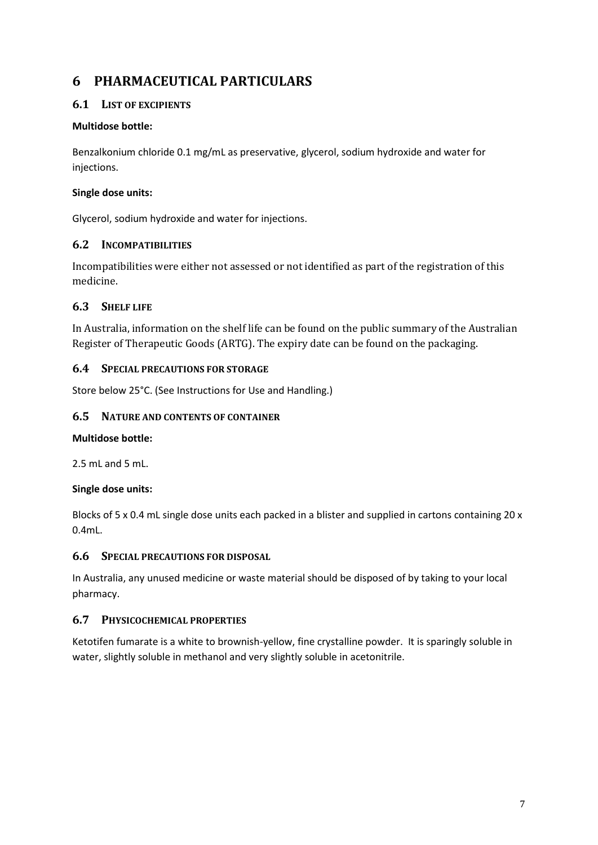# **6 PHARMACEUTICAL PARTICULARS**

## **6.1 LIST OF EXCIPIENTS**

### **Multidose bottle:**

Benzalkonium chloride 0.1 mg/mL as preservative, glycerol, sodium hydroxide and water for injections.

### **Single dose units:**

Glycerol, sodium hydroxide and water for injections.

# **6.2 INCOMPATIBILITIES**

Incompatibilities were either not assessed or not identified as part of the registration of this medicine.

# **6.3 SHELF LIFE**

In Australia, information on the shelf life can be found on the public summary of the Australian Register of Therapeutic Goods (ARTG). The expiry date can be found on the packaging.

### **6.4 SPECIAL PRECAUTIONS FOR STORAGE**

Store below 25°C. (See Instructions for Use and Handling.)

### **6.5 NATURE AND CONTENTS OF CONTAINER**

### **Multidose bottle:**

2.5 mL and 5 mL.

### **Single dose units:**

Blocks of 5 x 0.4 mL single dose units each packed in a blister and supplied in cartons containing 20 x 0.4mL.

### **6.6 SPECIAL PRECAUTIONS FOR DISPOSAL**

In Australia, any unused medicine or waste material should be disposed of by taking to your local pharmacy.

### **6.7 PHYSICOCHEMICAL PROPERTIES**

Ketotifen fumarate is a white to brownish-yellow, fine crystalline powder. It is sparingly soluble in water, slightly soluble in methanol and very slightly soluble in acetonitrile.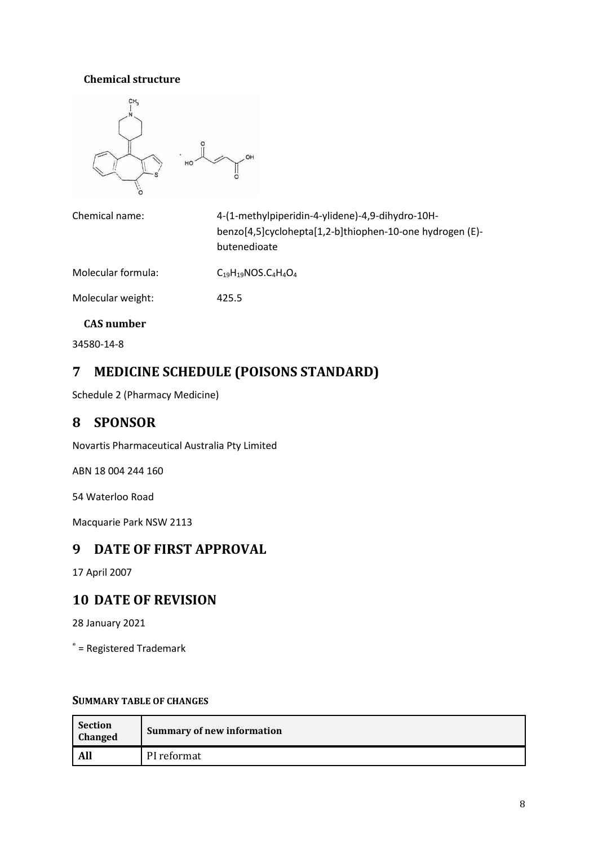# **Chemical structure**



| Chemical name:     | 4-(1-methylpiperidin-4-ylidene)-4,9-dihydro-10H-<br>benzo[4,5]cyclohepta[1,2-b]thiophen-10-one hydrogen (E)-<br>butenedioate |
|--------------------|------------------------------------------------------------------------------------------------------------------------------|
| Molecular formula: | $C_{19}H_{19}NOS.C4H4O4$                                                                                                     |

Molecular weight: 425.5

### **CAS number**

34580-14-8

# **7 MEDICINE SCHEDULE (POISONS STANDARD)**

Schedule 2 (Pharmacy Medicine)

# **8 SPONSOR**

Novartis Pharmaceutical Australia Pty Limited

ABN 18 004 244 160

54 Waterloo Road

Macquarie Park NSW 2113

# **9 DATE OF FIRST APPROVAL**

17 April 2007

# **10 DATE OF REVISION**

28 January 2021

 $e^*$  = Registered Trademark

### **SUMMARY TABLE OF CHANGES**

| Section<br><b>Changed</b> | <b>Summary of new information</b> |  |
|---------------------------|-----------------------------------|--|
| All                       | PI reformat                       |  |